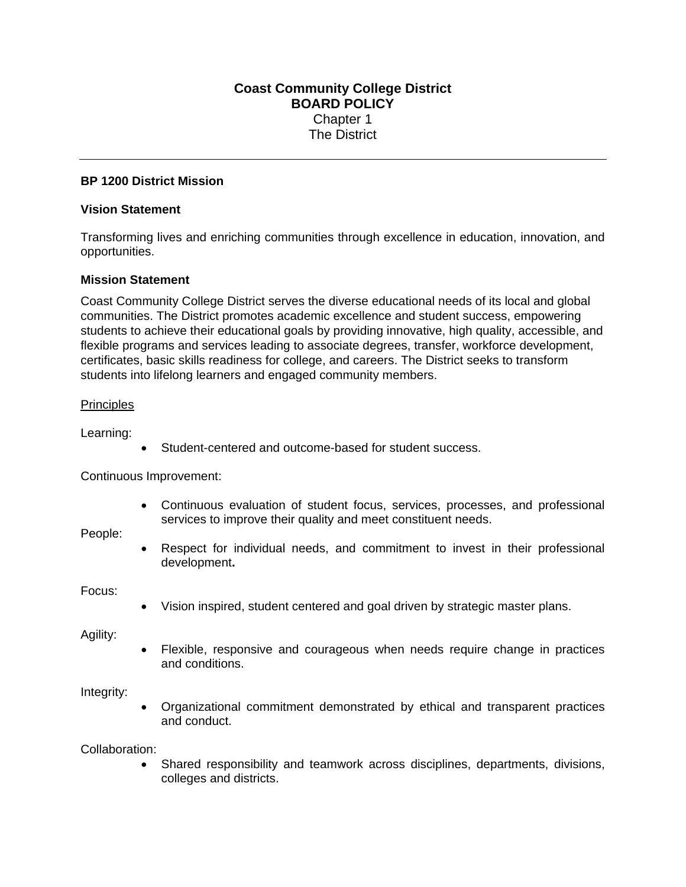# **Coast Community College District BOARD POLICY**  Chapter 1 The District

## **BP 1200 District Mission**

### **Vision Statement**

Transforming lives and enriching communities through excellence in education, innovation, and opportunities.

## **Mission Statement**

Coast Community College District serves the diverse educational needs of its local and global communities. The District promotes academic excellence and student success, empowering students to achieve their educational goals by providing innovative, high quality, accessible, and flexible programs and services leading to associate degrees, transfer, workforce development, certificates, basic skills readiness for college, and careers. The District seeks to transform students into lifelong learners and engaged community members.

### **Principles**

Learning:

Student-centered and outcome-based for student success.

Continuous Improvement:

 Continuous evaluation of student focus, services, processes, and professional services to improve their quality and meet constituent needs.

People:

 Respect for individual needs, and commitment to invest in their professional development**.** 

Focus:

Vision inspired, student centered and goal driven by strategic master plans.

Agility:

 Flexible, responsive and courageous when needs require change in practices and conditions.

Integrity:

 Organizational commitment demonstrated by ethical and transparent practices and conduct.

Collaboration:

 Shared responsibility and teamwork across disciplines, departments, divisions, colleges and districts.